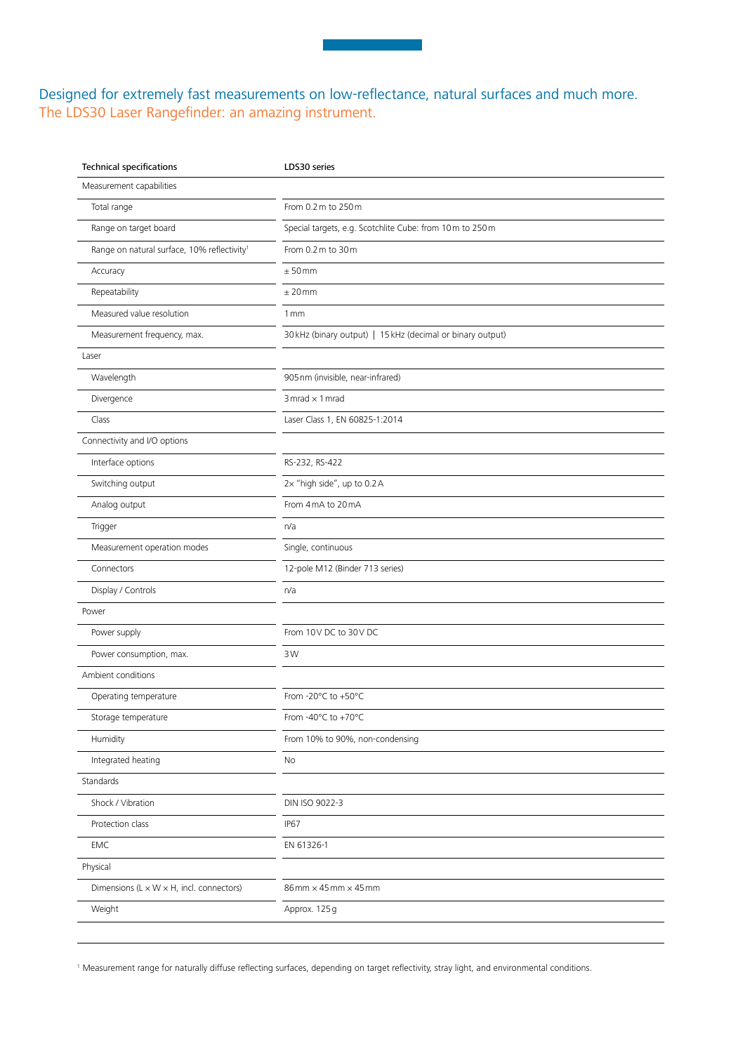## Designed for extremely fast measurements on low-reflectance, natural surfaces and much more. The LDS30 Laser Rangefinder: an amazing instrument.

| <b>Technical specifications</b>                         | LDS30 series                                               |
|---------------------------------------------------------|------------------------------------------------------------|
| Measurement capabilities                                |                                                            |
| Total range                                             | From 0.2 m to 250 m                                        |
| Range on target board                                   | Special targets, e.g. Scotchlite Cube: from 10m to 250m    |
| Range on natural surface, 10% reflectivity <sup>1</sup> | From 0.2 m to 30 m                                         |
| Accuracy                                                | ± 50mm                                                     |
| Repeatability                                           | $±$ 20 mm                                                  |
| Measured value resolution                               | 1 mm                                                       |
| Measurement frequency, max.                             | 30 kHz (binary output)   15 kHz (decimal or binary output) |
| Laser                                                   |                                                            |
| Wavelength                                              | 905 nm (invisible, near-infrared)                          |
| Divergence                                              | 3 mrad $\times$ 1 mrad                                     |
| Class                                                   | Laser Class 1, EN 60825-1:2014                             |
| Connectivity and I/O options                            |                                                            |
| Interface options                                       | RS-232, RS-422                                             |
| Switching output                                        | 2x "high side", up to 0.2 A                                |
| Analog output                                           | From 4 mA to 20 mA                                         |
| Trigger                                                 | n/a                                                        |
| Measurement operation modes                             | Single, continuous                                         |
| Connectors                                              | 12-pole M12 (Binder 713 series)                            |
| Display / Controls                                      | n/a                                                        |
| Power                                                   |                                                            |
| Power supply                                            | From 10V DC to 30V DC                                      |
| Power consumption, max.                                 | 3W                                                         |
| Ambient conditions                                      |                                                            |
| Operating temperature                                   | From -20°C to +50°C                                        |
| Storage temperature                                     | From -40°C to +70°C                                        |
| Humidity                                                | From 10% to 90%, non-condensing                            |
| Integrated heating                                      | No                                                         |
| Standards                                               |                                                            |
| Shock / Vibration                                       | DIN ISO 9022-3                                             |
| Protection class                                        | <b>IP67</b>                                                |
| EMC                                                     | EN 61326-1                                                 |
| Physical                                                |                                                            |
| Dimensions ( $L \times W \times H$ , incl. connectors)  | $86$ mm $\times$ 45 mm $\times$ 45 mm                      |
| Weight                                                  | Approx. 125g                                               |
|                                                         |                                                            |

<sup>1</sup> Measurement range for naturally diffuse reflecting surfaces, depending on target reflectivity, stray light, and environmental conditions.